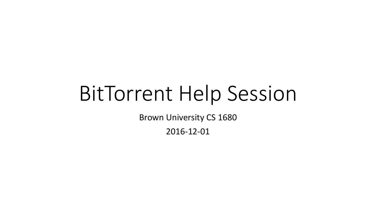# BitTorrent Help Session

Brown University CS 1680

2016-12-01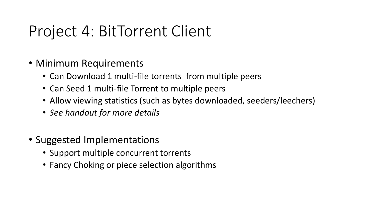- Minimum Requirements
	- Can Download 1 multi-file torrents from multiple peers
	- Can Seed 1 multi-file Torrent to multiple peers
	- Allow viewing statistics (such as bytes downloaded, seeders/leechers)
	- *See handout for more details*
- Suggested Implementations
	- Support multiple concurrent torrents
	- Fancy Choking or piece selection algorithms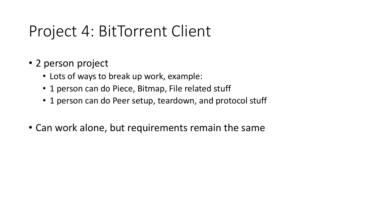- 2 person project
	- Lots of ways to break up work, example:
	- 1 person can do Piece, Bitmap, File related stuff
	- 1 person can do Peer setup, teardown, and protocol stuff
- Can work alone, but requirements remain the same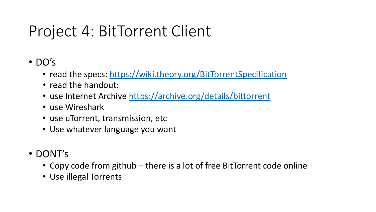- DO's
	- read the specs:<https://wiki.theory.org/BitTorrentSpecification>
	- read the handout:
	- use Internet Archive<https://archive.org/details/bittorrent>
	- use Wireshark
	- use uTorrent, transmission, etc
	- Use whatever language you want
- DONT's
	- Copy code from github there is a lot of free BitTorrent code online
	- Use illegal Torrents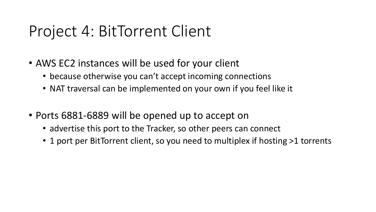- AWS EC2 instances will be used for your client
	- because otherwise you can't accept incoming connections
	- NAT traversal can be implemented on your own if you feel like it
- Ports 6881-6889 will be opened up to accept on
	- advertise this port to the Tracker, so other peers can connect
	- 1 port per BitTorrent client, so you need to multiplex if hosting >1 torrents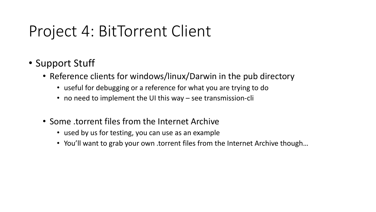- Support Stuff
	- Reference clients for windows/linux/Darwin in the pub directory
		- useful for debugging or a reference for what you are trying to do
		- no need to implement the UI this way see transmission-cli
	- Some .torrent files from the Internet Archive
		- used by us for testing, you can use as an example
		- You'll want to grab your own .torrent files from the Internet Archive though...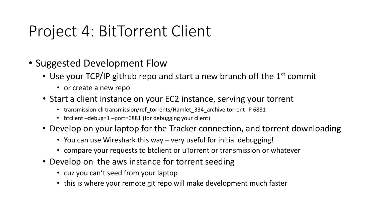- Suggested Development Flow
	- Use your TCP/IP github repo and start a new branch off the 1<sup>st</sup> commit
		- or create a new repo
	- Start a client instance on your EC2 instance, serving your torrent
		- transmission-cli transmission/ref\_torrents/Hamlet\_334\_archive.torrent -P 6881
		- btclient –debug=1 –port=6881 (for debugging your client)
	- Develop on your laptop for the Tracker connection, and torrent downloading
		- You can use Wireshark this way very useful for initial debugging!
		- compare your requests to btclient or uTorrent or transmission or whatever
	- Develop on the aws instance for torrent seeding
		- cuz you can't seed from your laptop
		- this is where your remote git repo will make development much faster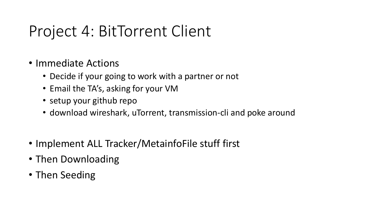- Immediate Actions
	- Decide if your going to work with a partner or not
	- Email the TA's, asking for your VM
	- setup your github repo
	- download wireshark, uTorrent, transmission-cli and poke around
- Implement ALL Tracker/MetainfoFile stuff first
- Then Downloading
- Then Seeding